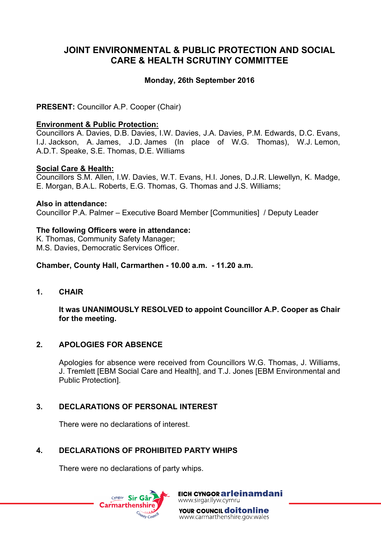# **JOINT ENVIRONMENTAL & PUBLIC PROTECTION AND SOCIAL CARE & HEALTH SCRUTINY COMMITTEE**

## **Monday, 26th September 2016**

**PRESENT:** Councillor A.P. Cooper (Chair)

#### **Environment & Public Protection:**

Councillors A. Davies, D.B. Davies, I.W. Davies, J.A. Davies, P.M. Edwards, D.C. Evans, I.J. Jackson, A. James, J.D. James (In place of W.G. Thomas), W.J. Lemon, A.D.T. Speake, S.E. Thomas, D.E. Williams

#### **Social Care & Health:**

Councillors S.M. Allen, I.W. Davies, W.T. Evans, H.I. Jones, D.J.R. Llewellyn, K. Madge, E. Morgan, B.A.L. Roberts, E.G. Thomas, G. Thomas and J.S. Williams;

#### **Also in attendance:**

Councillor P.A. Palmer – Executive Board Member [Communities] / Deputy Leader

#### **The following Officers were in attendance:**

K. Thomas, Community Safety Manager; M.S. Davies, Democratic Services Officer.

#### **Chamber, County Hall, Carmarthen - 10.00 a.m. - 11.20 a.m.**

**1. CHAIR**

**It was UNANIMOUSLY RESOLVED to appoint Councillor A.P. Cooper as Chair for the meeting.**

## **2. APOLOGIES FOR ABSENCE**

Apologies for absence were received from Councillors W.G. Thomas, J. Williams, J. Tremlett [EBM Social Care and Health], and T.J. Jones [EBM Environmental and Public Protection].

## **3. DECLARATIONS OF PERSONAL INTEREST**

There were no declarations of interest.

# **4. DECLARATIONS OF PROHIBITED PARTY WHIPS**

There were no declarations of party whips.



EICH CYNGOR arleinamdani www.sirgar.llyw.cymru

**YOUR COUNCIL doitonline** www.carmarthenshire.gov.wales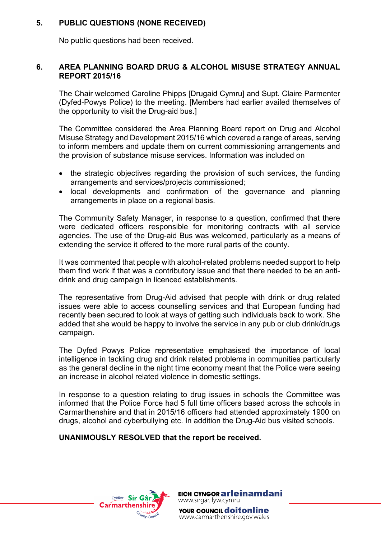# **5. PUBLIC QUESTIONS (NONE RECEIVED)**

No public questions had been received.

## **6. AREA PLANNING BOARD DRUG & ALCOHOL MISUSE STRATEGY ANNUAL REPORT 2015/16**

The Chair welcomed Caroline Phipps [Drugaid Cymru] and Supt. Claire Parmenter (Dyfed-Powys Police) to the meeting. [Members had earlier availed themselves of the opportunity to visit the Drug-aid bus.]

The Committee considered the Area Planning Board report on Drug and Alcohol Misuse Strategy and Development 2015/16 which covered a range of areas, serving to inform members and update them on current commissioning arrangements and the provision of substance misuse services. Information was included on

- the strategic objectives regarding the provision of such services, the funding arrangements and services/projects commissioned;
- local developments and confirmation of the governance and planning arrangements in place on a regional basis.

The Community Safety Manager, in response to a question, confirmed that there were dedicated officers responsible for monitoring contracts with all service agencies. The use of the Drug-aid Bus was welcomed, particularly as a means of extending the service it offered to the more rural parts of the county.

It was commented that people with alcohol-related problems needed support to help them find work if that was a contributory issue and that there needed to be an antidrink and drug campaign in licenced establishments.

The representative from Drug-Aid advised that people with drink or drug related issues were able to access counselling services and that European funding had recently been secured to look at ways of getting such individuals back to work. She added that she would be happy to involve the service in any pub or club drink/drugs campaign.

The Dyfed Powys Police representative emphasised the importance of local intelligence in tackling drug and drink related problems in communities particularly as the general decline in the night time economy meant that the Police were seeing an increase in alcohol related violence in domestic settings.

In response to a question relating to drug issues in schools the Committee was informed that the Police Force had 5 full time officers based across the schools in Carmarthenshire and that in 2015/16 officers had attended approximately 1900 on drugs, alcohol and cyberbullying etc. In addition the Drug-Aid bus visited schools.

## **UNANIMOUSLY RESOLVED that the report be received.**



EICH CYNGOR arleinamdani www.sirgar.llyw.cymru

YOUR COUNCIL **doitonline** www.carmarthenshire.gov.wales